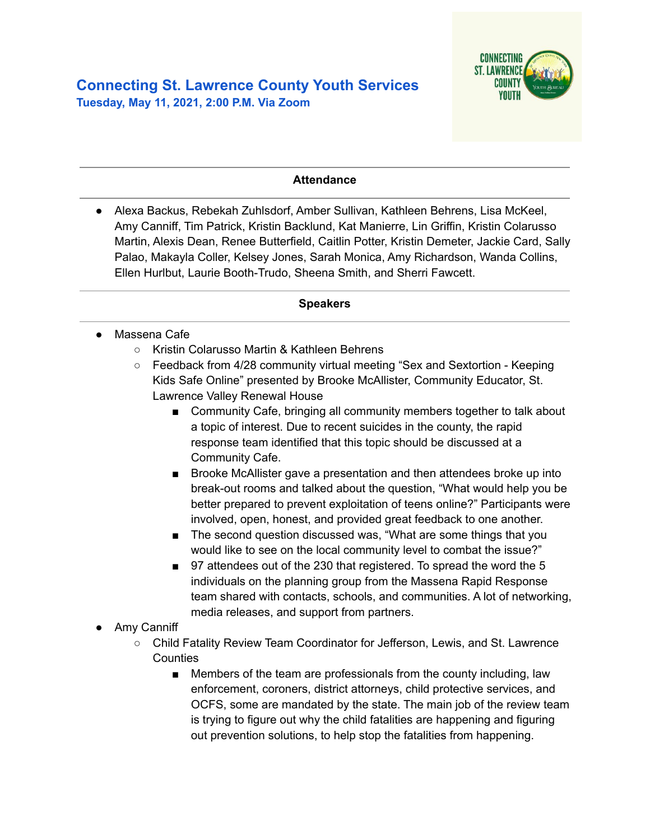

### **Attendance**

● Alexa Backus, Rebekah Zuhlsdorf, Amber Sullivan, Kathleen Behrens, Lisa McKeel, Amy Canniff, Tim Patrick, Kristin Backlund, Kat Manierre, Lin Griffin, Kristin Colarusso Martin, Alexis Dean, Renee Butterfield, Caitlin Potter, Kristin Demeter, Jackie Card, Sally Palao, Makayla Coller, Kelsey Jones, Sarah Monica, Amy Richardson, Wanda Collins, Ellen Hurlbut, Laurie Booth-Trudo, Sheena Smith, and Sherri Fawcett.

#### **Speakers**

- **●** Massena Cafe
	- Kristin Colarusso Martin & Kathleen Behrens
	- Feedback from 4/28 community virtual meeting "Sex and Sextortion Keeping Kids Safe Online" presented by Brooke McAllister, Community Educator, St. Lawrence Valley Renewal House
		- Community Cafe, bringing all community members together to talk about a topic of interest. Due to recent suicides in the county, the rapid response team identified that this topic should be discussed at a Community Cafe.
		- Brooke McAllister gave a presentation and then attendees broke up into break-out rooms and talked about the question, "What would help you be better prepared to prevent exploitation of teens online?" Participants were involved, open, honest, and provided great feedback to one another.
		- The second question discussed was, "What are some things that you would like to see on the local community level to combat the issue?"
		- 97 attendees out of the 230 that registered. To spread the word the 5 individuals on the planning group from the Massena Rapid Response team shared with contacts, schools, and communities. A lot of networking, media releases, and support from partners.
- Amy Canniff
	- Child Fatality Review Team Coordinator for Jefferson, Lewis, and St. Lawrence **Counties** 
		- Members of the team are professionals from the county including, law enforcement, coroners, district attorneys, child protective services, and OCFS, some are mandated by the state. The main job of the review team is trying to figure out why the child fatalities are happening and figuring out prevention solutions, to help stop the fatalities from happening.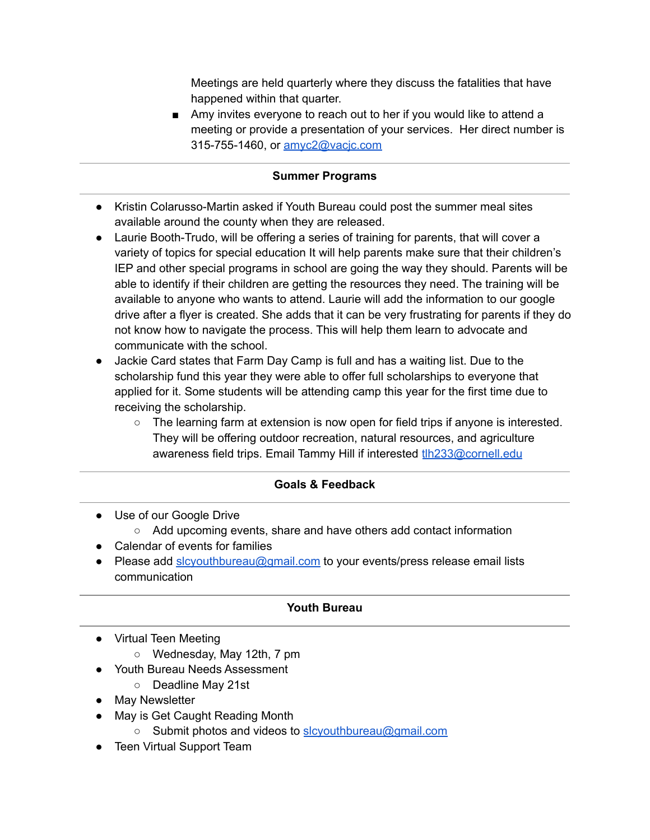Meetings are held quarterly where they discuss the fatalities that have happened within that quarter.

■ Amy invites everyone to reach out to her if you would like to attend a meeting or provide a presentation of your services. Her direct number is 315-755-1460, or [amyc2@vacjc.com](mailto:amyc2@vacjc.com)

# **Summer Programs**

- Kristin Colarusso-Martin asked if Youth Bureau could post the summer meal sites available around the county when they are released.
- Laurie Booth-Trudo, will be offering a series of training for parents, that will cover a variety of topics for special education It will help parents make sure that their children's IEP and other special programs in school are going the way they should. Parents will be able to identify if their children are getting the resources they need. The training will be available to anyone who wants to attend. Laurie will add the information to our google drive after a flyer is created. She adds that it can be very frustrating for parents if they do not know how to navigate the process. This will help them learn to advocate and communicate with the school.
- Jackie Card states that Farm Day Camp is full and has a waiting list. Due to the scholarship fund this year they were able to offer full scholarships to everyone that applied for it. Some students will be attending camp this year for the first time due to receiving the scholarship.
	- $\circ$  The learning farm at extension is now open for field trips if anyone is interested. They will be offering outdoor recreation, natural resources, and agriculture awareness field trips. Email Tammy Hill if interested [tlh233@cornell.edu](mailto:tlh233@cornell.edu)

# **Goals & Feedback**

- Use of our Google Drive
	- Add upcoming events, share and have others add contact information
- Calendar of events for families
- Please add [slcyouthbureau@gmail.com](mailto:slcyouthbureau@gmail.com) to your events/press release email lists communication

## **Youth Bureau**

- Virtual Teen Meeting
	- Wednesday, May 12th, 7 pm
- Youth Bureau Needs Assessment
	- Deadline May 21st
- May Newsletter
- May is Get Caught Reading Month
	- Submit photos and videos to [slcyouthbureau@gmail.com](mailto:slcyouthbureau@gmail.com)
- Teen Virtual Support Team